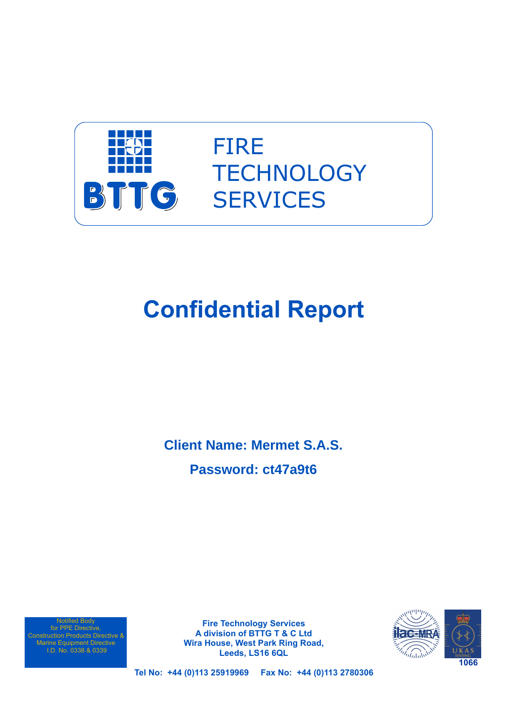

## FIRE **TECHNOLOGY SERVICES**

# **Confidential Report**

**Client Name: Mermet S.A.S. Password: ct47a9t6**

Notified Body for PPE Directive, Construction Products Directive & Marine Equipment Directive I.D. No. 0338 & 0339

**Fire Technology Services A division of BTTG T & C Ltd Wira House, West Park Ring Road, Leeds, LS16 6QL**



**Tel No: +44 (0)113 25919969 Fax No: +44 (0)113 2780306**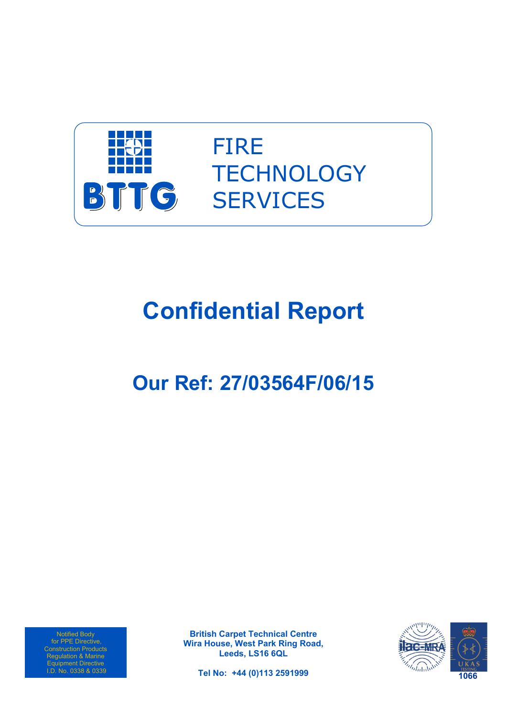

FIRE **TECHNOLOGY SERVICES** 

# **Confidential Report**

## **Our Ref: 27/03564F/06/15**

Notified Body for PPE Directive, Construction Products Regulation & Marine Equipment Directive I.D. No. 0338 & 0339

**British Carpet Technical Centre Wira House, West Park Ring Road, Leeds, LS16 6QL**



**Tel No: +44 (0)113 2591999**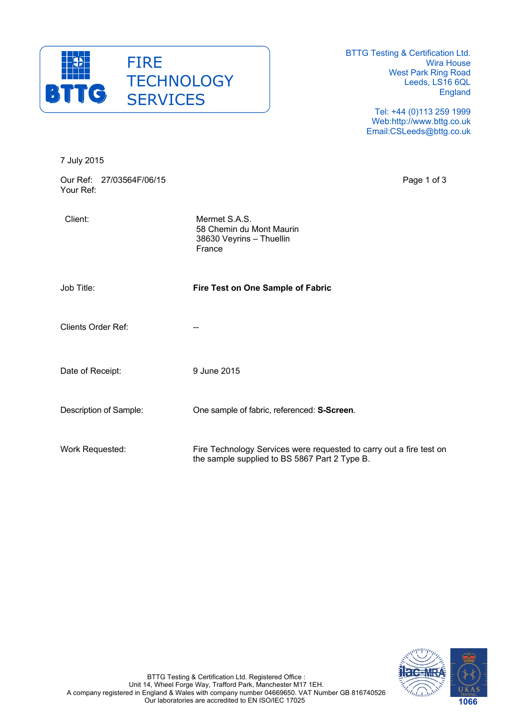

BTTG Testing & Certification Ltd. Wira House West Park Ring Road Leeds, LS16 6QL England

> Tel: +44 (0)113 259 1999 Web:http://www.bttg.co.uk Email:CSLeeds@bttg.co.uk

| 7 July 2015                           |                                                                                                                      |             |
|---------------------------------------|----------------------------------------------------------------------------------------------------------------------|-------------|
| Our Ref: 27/03564F/06/15<br>Your Ref: |                                                                                                                      | Page 1 of 3 |
| Client:                               | Mermet S.A.S.<br>58 Chemin du Mont Maurin<br>38630 Veyrins - Thuellin<br>France                                      |             |
| Job Title:                            | Fire Test on One Sample of Fabric                                                                                    |             |
| <b>Clients Order Ref:</b>             |                                                                                                                      |             |
| Date of Receipt:                      | 9 June 2015                                                                                                          |             |
| Description of Sample:                | One sample of fabric, referenced: S-Screen.                                                                          |             |
| Work Requested:                       | Fire Technology Services were requested to carry out a fire test on<br>the sample supplied to BS 5867 Part 2 Type B. |             |

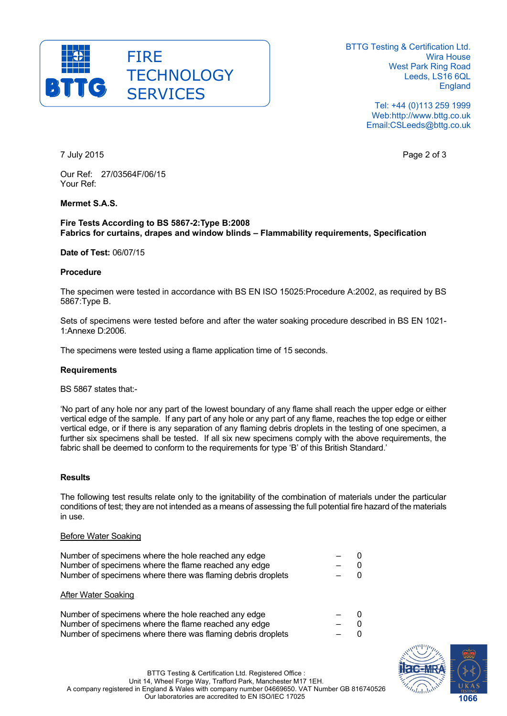

BTTG Testing & Certification Ltd. Wira House West Park Ring Road Leeds, LS16 6QL England

> Tel: +44 (0)113 259 1999 Web:http://www.bttg.co.uk Email:CSLeeds@bttg.co.uk

7 July 2015 Page 2 of 3

Our Ref: 27/03564F/06/15 Your Ref:

### **Mermet S.A.S.**

#### **Fire Tests According to BS 5867-2:Type B:2008 Fabrics for curtains, drapes and window blinds – Flammability requirements, Specification**

#### **Date of Test:** 06/07/15

#### **Procedure**

The specimen were tested in accordance with BS EN ISO 15025:Procedure A:2002, as required by BS 5867:Type B.

Sets of specimens were tested before and after the water soaking procedure described in BS EN 1021- 1:Annexe D:2006.

The specimens were tested using a flame application time of 15 seconds.

#### **Requirements**

BS 5867 states that:-

'No part of any hole nor any part of the lowest boundary of any flame shall reach the upper edge or either vertical edge of the sample. If any part of any hole or any part of any flame, reaches the top edge or either vertical edge, or if there is any separation of any flaming debris droplets in the testing of one specimen, a further six specimens shall be tested. If all six new specimens comply with the above requirements, the fabric shall be deemed to conform to the requirements for type 'B' of this British Standard.'

#### **Results**

The following test results relate only to the ignitability of the combination of materials under the particular conditions of test; they are not intended as a means of assessing the full potential fire hazard of the materials in use.

#### Before Water Soaking

| Number of specimens where the hole reached any edge         |       | - 0   |
|-------------------------------------------------------------|-------|-------|
| Number of specimens where the flame reached any edge        | $-$ 0 |       |
| Number of specimens where there was flaming debris droplets |       | $-$ 0 |
|                                                             |       |       |

#### After Water Soaking

| Number of specimens where the hole reached any edge         | $-$ 0 |  |
|-------------------------------------------------------------|-------|--|
| Number of specimens where the flame reached any edge        | $-$ 0 |  |
| Number of specimens where there was flaming debris droplets | $-$ 0 |  |